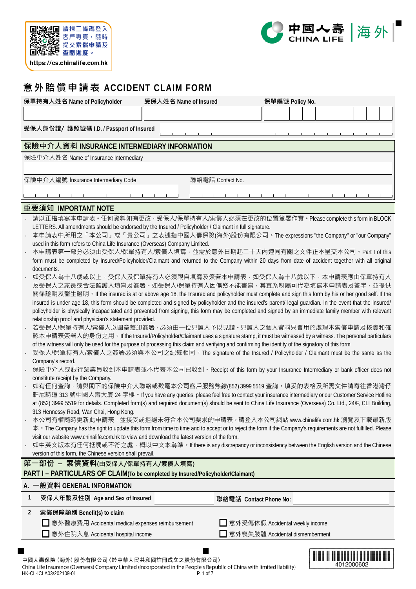



# **意外賠償申請表 ACCIDENT CLAIM FORM**

| 保單持有人姓名 Name of Policyholder                                                                                                                                                                                                                                     | 受保人姓名 Name of Insured | 保單編號 Policy No.                   |  |  |  |  |  |  |            |  |  |  |
|------------------------------------------------------------------------------------------------------------------------------------------------------------------------------------------------------------------------------------------------------------------|-----------------------|-----------------------------------|--|--|--|--|--|--|------------|--|--|--|
|                                                                                                                                                                                                                                                                  |                       |                                   |  |  |  |  |  |  |            |  |  |  |
| 受保人身份證/ 護照號碼 I.D. / Passport of Insured                                                                                                                                                                                                                          |                       |                                   |  |  |  |  |  |  |            |  |  |  |
| 保險中介人資料 INSURANCE INTERMEDIARY INFORMATION                                                                                                                                                                                                                       |                       |                                   |  |  |  |  |  |  |            |  |  |  |
| 保險中介人姓名 Name of Insurance Intermediary                                                                                                                                                                                                                           |                       |                                   |  |  |  |  |  |  |            |  |  |  |
|                                                                                                                                                                                                                                                                  |                       |                                   |  |  |  |  |  |  |            |  |  |  |
| 保險中介人編號 Insurance Intermediary Code                                                                                                                                                                                                                              |                       | 聯絡電話 Contact No.                  |  |  |  |  |  |  |            |  |  |  |
|                                                                                                                                                                                                                                                                  |                       |                                   |  |  |  |  |  |  |            |  |  |  |
| 重要須知 IMPORTANT NOTE                                                                                                                                                                                                                                              |                       |                                   |  |  |  |  |  |  |            |  |  |  |
| 請以正楷填寫本申請表。任何資料如有更改,受保人/保單持有人/索償人必須在更改的位置簽署作實。Please complete this form in BLOCK                                                                                                                                                                                 |                       |                                   |  |  |  |  |  |  |            |  |  |  |
| LETTERS. All amendments should be endorsed by the Insured / Policyholder / Claimant in full signature.                                                                                                                                                           |                       |                                   |  |  |  |  |  |  |            |  |  |  |
| 本申請表中所用之「本公司」或「貴公司」之表述指中國人壽保險(海外)股份有限公司。The expressions "the Company" or "our Company"<br>used in this form refers to China Life Insurance (Overseas) Company Limited.                                                                                           |                       |                                   |  |  |  |  |  |  |            |  |  |  |
| 本申請表第一部分必須由受保人/保單持有人/索償人填寫,並需於意外日期起二十天內連同有關之文件正本呈交本公司。Part I of this                                                                                                                                                                                             |                       |                                   |  |  |  |  |  |  |            |  |  |  |
| form must be completed by Insured/Policyholder/Claimant and returned to the Company within 20 days from date of accident together with all original                                                                                                              |                       |                                   |  |  |  |  |  |  |            |  |  |  |
| documents.                                                                                                                                                                                                                                                       |                       |                                   |  |  |  |  |  |  |            |  |  |  |
| 如受保人為十八歳或以上‧受保人及保單持有人必須親自填寫及簽署本申請表‧如受保人為十八歲以下‧本申請表應由保單持有人<br>及受保人之家長或合法監護人填寫及簽署。如受保人/保單持有人因傷殘不能書寫·其直系親屬可代為填寫本申請表及簽字·並提供                                                                                                                                          |                       |                                   |  |  |  |  |  |  |            |  |  |  |
| 關係證明及醫生證明。If the insured is at or above age 18, the Insured and policyholder must complete and sign this form by his or her good self. If the                                                                                                                    |                       |                                   |  |  |  |  |  |  |            |  |  |  |
| insured is under age 18, this form should be completed and signed by policyholder and the insured's parent/ legal guardian. In the event that the Insured/                                                                                                       |                       |                                   |  |  |  |  |  |  |            |  |  |  |
| policyholder is physically incapacitated and prevented from signing, this form may be completed and signed by an immediate family member with relevant<br>relationship proof and physician's statement provided.                                                 |                       |                                   |  |  |  |  |  |  |            |  |  |  |
| 若受保人/保單持有人/索償人以圖章蓋印簽署 · 必須由一位見證人予以見證 · 見證人之個人資料只會用於處理本索償申請及核實和確                                                                                                                                                                                                  |                       |                                   |  |  |  |  |  |  |            |  |  |  |
| 認本申請表簽署人的身份之用 • If the Insured/Policyholder/Claimant uses a signature stamp, it must be witnessed by a witness. The personal particulars                                                                                                                         |                       |                                   |  |  |  |  |  |  |            |  |  |  |
| of the witness will only be used for the purpose of processing this claim and verifying and confirming the identity of the signatory of this form.<br>受保人/保單持有人/索償人之簽署必須與本公司之紀錄相同。The signature of the Insured / Policyholder / Claimant must be the same as the |                       |                                   |  |  |  |  |  |  |            |  |  |  |
| Company's record.                                                                                                                                                                                                                                                |                       |                                   |  |  |  |  |  |  |            |  |  |  |
| 保險中介人或銀行營業員收到本申請表並不代表本公司已收到。Receipt of this form by your Insurance Intermediary or bank officer does not                                                                                                                                                         |                       |                                   |  |  |  |  |  |  |            |  |  |  |
| constitute receipt by the Company.                                                                                                                                                                                                                               |                       |                                   |  |  |  |  |  |  |            |  |  |  |
| 如有任何查詢 ·請與閣下的保險中介人聯絡或致電本公司客戶服務熱線(852) 3999 5519 查詢 ·填妥的表格及所需文件請寄往香港灣仔<br>軒尼詩道 313 號中國人壽大廈 24 字樓 • If you have any queries, please feel free to contact your insurance intermediary or our Customer Service Hotline                                               |                       |                                   |  |  |  |  |  |  |            |  |  |  |
| at (852) 3999 5519 for details. Completed form(s) and required document(s) should be sent to China Life Insurance (Overseas) Co. Ltd., 24/F, CLI Building,                                                                                                       |                       |                                   |  |  |  |  |  |  |            |  |  |  |
| 313 Hennessy Road, Wan Chai, Hong Kong.                                                                                                                                                                                                                          |                       |                                   |  |  |  |  |  |  |            |  |  |  |
| 本公司有權隨時更新此申請表 · 並接受或拒絕未符合本公司要求的申請表 · 請登入本公司網站 www.chinalife.com.hk 瀏覽及下載最新版                                                                                                                                                                                      |                       |                                   |  |  |  |  |  |  |            |  |  |  |
| 本 • The Company has the right to update this form from time to time and to accept or to reject the form if the Company's requirements are not fulfilled. Please<br>visit our website www.chinalife.com.hk to view and download the latest version of the form.   |                       |                                   |  |  |  |  |  |  |            |  |  |  |
| 如中英文版本有任何抵觸或不符之處‧概以中文本為準‧If there is any discrepancy or inconsistency between the English version and the Chinese                                                                                                                                                |                       |                                   |  |  |  |  |  |  |            |  |  |  |
| version of this form, the Chinese version shall prevail.                                                                                                                                                                                                         |                       |                                   |  |  |  |  |  |  |            |  |  |  |
| 第一部份 - 索償資料(由受保人/保單持有人/索償人填寫)                                                                                                                                                                                                                                    |                       |                                   |  |  |  |  |  |  |            |  |  |  |
| PART I - PARTICULARS OF CLAIM(To be completed by Insured/Policyholder/Claimant)<br>A. 一般資料 GENERAL INFORMATION                                                                                                                                                   |                       |                                   |  |  |  |  |  |  |            |  |  |  |
| 1<br>受保人年齡及性別 Age and Sex of Insured                                                                                                                                                                                                                             |                       | 聯絡電話 Contact Phone No:            |  |  |  |  |  |  |            |  |  |  |
| 索償保障類別 Benefit(s) to claim<br>2                                                                                                                                                                                                                                  |                       |                                   |  |  |  |  |  |  |            |  |  |  |
| □ 意外醫療費用 Accidental medical expenses reimbursement                                                                                                                                                                                                               |                       | ■ 意外受傷休假 Accidental weekly income |  |  |  |  |  |  |            |  |  |  |
| 意外住院入息 Accidental hospital income                                                                                                                                                                                                                                |                       | 意外喪失肢體 Accidental dismemberment   |  |  |  |  |  |  |            |  |  |  |
|                                                                                                                                                                                                                                                                  |                       |                                   |  |  |  |  |  |  |            |  |  |  |
|                                                                                                                                                                                                                                                                  |                       |                                   |  |  |  |  |  |  |            |  |  |  |
| 中國人壽保險 (海外) 股份有限公司 (於中華人民共和國註冊成立之股份有限公司)<br>China Life Insurance (Overseas) Company Limited (incorporated in the People's Republic of China with limited liability)                                                                                              |                       |                                   |  |  |  |  |  |  | 4012000602 |  |  |  |

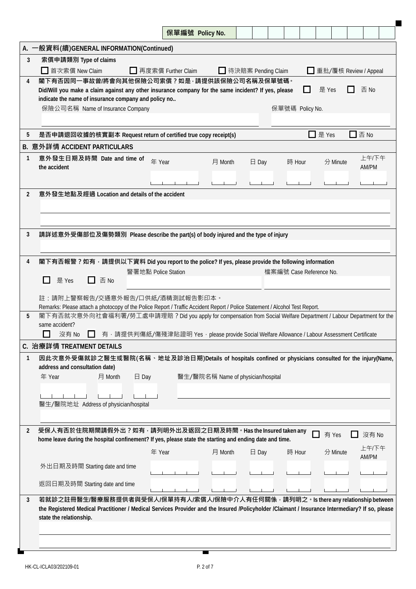|      | 保單編號 Policy No.                                                                                                                                                                                                                                                                                                                                                                                                                                |  |  |  |  |  |  |  |  |  |  |  |
|------|------------------------------------------------------------------------------------------------------------------------------------------------------------------------------------------------------------------------------------------------------------------------------------------------------------------------------------------------------------------------------------------------------------------------------------------------|--|--|--|--|--|--|--|--|--|--|--|
| A. - | -般資料(續)GENERAL INFORMATION(Continued)                                                                                                                                                                                                                                                                                                                                                                                                          |  |  |  |  |  |  |  |  |  |  |  |
| 3    | 索償申請類別 Type of claims<br>首次索償 New Claim<br>□ 再度索償 Further Claim<br>待決賠案 Pending Claim<br>重批/覆核 Review / Appeal                                                                                                                                                                                                                                                                                                                                 |  |  |  |  |  |  |  |  |  |  |  |
| 4    | 閣下有否因同一事故曾/將會向其他保險公司索償?如是,請提供該保險公司名稱及保單號碼。<br>否 No<br>是 Yes<br>Did/Will you make a claim against any other insurance company for the same incident? If yes, please<br>indicate the name of insurance company and policy no<br>保險公司名稱 Name of Insurance Company<br>保單號碼 Policy No.                                                                                                                                                              |  |  |  |  |  |  |  |  |  |  |  |
| 5    | $\Box$ 否 No<br>是 Yes<br>是否申請退回收據的核實副本 Request return of certified true copy receipt(s)                                                                                                                                                                                                                                                                                                                                                         |  |  |  |  |  |  |  |  |  |  |  |
|      | B. 意外詳情 ACCIDENT PARTICULARS                                                                                                                                                                                                                                                                                                                                                                                                                   |  |  |  |  |  |  |  |  |  |  |  |
| 1    | 上午/下午<br>意外發生日期及時間 Date and time of<br>年 Year<br>月 Month<br>$\boxminus$ Day<br>時 Hour<br>分 Minute<br>AM/PM<br>the accident                                                                                                                                                                                                                                                                                                                     |  |  |  |  |  |  |  |  |  |  |  |
| 2    | 意外發生地點及經過 Location and details of the accident                                                                                                                                                                                                                                                                                                                                                                                                 |  |  |  |  |  |  |  |  |  |  |  |
| 3    | 請詳述意外受傷部位及傷勢類別 Please describe the part(s) of body injured and the type of injury                                                                                                                                                                                                                                                                                                                                                              |  |  |  |  |  |  |  |  |  |  |  |
| 4    | 閣下有否報警?如有,請提供以下資料 Did you report to the police? If yes, please provide the following information<br>警署地點 Police Station<br>檔案編號 Case Reference No.<br>是 Yes<br>否 No<br>LΙ                                                                                                                                                                                                                                                                      |  |  |  |  |  |  |  |  |  |  |  |
| 5    | 註:請附上警察報告/交通意外報告/口供紙/酒精測試報告影印本。<br>Remarks: Please attach a photocopy of the Police Report / Traffic Accident Report / Police Statement / Alcohol Test Report.<br>閣下有否就次意外向社會福利署/勞工處申請理賠? Did you apply for compensation from Social Welfare Department / Labour Department for the<br>same accident?<br>沒有 No<br>有 · 請提供判傷紙/傷殘津貼證明 Yes · please provide Social Welfare Allowance / Labour Assessment Certificate<br>C. 治療詳情 TREATMENT DETAILS |  |  |  |  |  |  |  |  |  |  |  |
| 1    | 因此次意外受傷就診之醫生或醫院(名稱、地址及診治日期)Details of hospitals confined or physicians consulted for the injury(Name,<br>address and consultation date)<br>$\boxminus$ Day<br>醫生/醫院名稱 Name of physician/hospital<br>年 Year<br>月 Month<br>醫生/醫院地址 Address of physician/hospital                                                                                                                                                                                 |  |  |  |  |  |  |  |  |  |  |  |
| 2    | 受保人有否於住院期間請假外出?如有 <sup>,</sup> 請列明外出及返回之日期及時間。Has the Insured taken any<br>沒有 No<br>有 Yes<br>home leave during the hospital confinement? If yes, please state the starting and ending date and time.<br>上午/下午<br>年 Year<br>時 Hour<br>分 Minute<br>月 Month<br>$\boxminus$ Day<br>AM/PM<br>外出日期及時間 Starting date and time<br>返回日期及時間 Starting date and time                                                                                       |  |  |  |  |  |  |  |  |  |  |  |
| 3    | 若就診之註冊醫生/醫療服務提供者與受保人/保單持有人/索償人/保險中介人有任何關係,請列明之。Is there any relationship between<br>the Registered Medical Practitioner / Medical Services Provider and the Insured /Policyholder /Claimant / Insurance Intermediary? If so, please<br>state the relationship.                                                                                                                                                                                 |  |  |  |  |  |  |  |  |  |  |  |

۰

 $\overline{\phantom{a}}$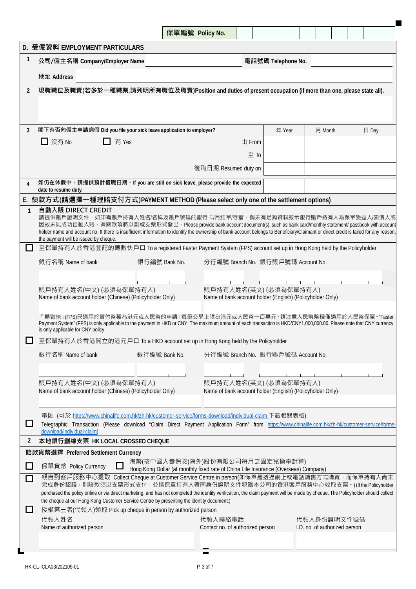|                             |                                                                                                                                                                                                                                                                                                                                                                                               | 保單編號 Policy No.                                                                                                        |                                                                                     |  |      |                    |  |  |  |  |                               |  |  |  |  |
|-----------------------------|-----------------------------------------------------------------------------------------------------------------------------------------------------------------------------------------------------------------------------------------------------------------------------------------------------------------------------------------------------------------------------------------------|------------------------------------------------------------------------------------------------------------------------|-------------------------------------------------------------------------------------|--|------|--------------------|--|--|--|--|-------------------------------|--|--|--|--|
|                             | D. 受僱資料 EMPLOYMENT PARTICULARS                                                                                                                                                                                                                                                                                                                                                                |                                                                                                                        |                                                                                     |  |      |                    |  |  |  |  |                               |  |  |  |  |
| $\mathbf{1}$                | 公司/僱主名稱 Company/Employer Name                                                                                                                                                                                                                                                                                                                                                                 |                                                                                                                        |                                                                                     |  |      | 電話號碼 Telephone No. |  |  |  |  |                               |  |  |  |  |
|                             | 地址 Address                                                                                                                                                                                                                                                                                                                                                                                    |                                                                                                                        |                                                                                     |  |      |                    |  |  |  |  |                               |  |  |  |  |
| $\overline{2}$              | 現職職位及職責(若多於一種職業,請列明所有職位及職責)Position and duties of present occupation (if more than one, please state all).                                                                                                                                                                                                                                                                                    |                                                                                                                        |                                                                                     |  |      |                    |  |  |  |  |                               |  |  |  |  |
|                             |                                                                                                                                                                                                                                                                                                                                                                                               |                                                                                                                        |                                                                                     |  |      |                    |  |  |  |  |                               |  |  |  |  |
|                             |                                                                                                                                                                                                                                                                                                                                                                                               |                                                                                                                        |                                                                                     |  |      |                    |  |  |  |  |                               |  |  |  |  |
| 3                           | 閣下有否向僱主申請病假 Did you file your sick leave application to employer?<br>月 Month<br>年 Year<br>$\boxminus$ Day                                                                                                                                                                                                                                                                                     |                                                                                                                        |                                                                                     |  |      |                    |  |  |  |  |                               |  |  |  |  |
|                             | □ 有 Yes<br>□ 沒有 No<br>由 From                                                                                                                                                                                                                                                                                                                                                                  |                                                                                                                        |                                                                                     |  |      |                    |  |  |  |  |                               |  |  |  |  |
|                             |                                                                                                                                                                                                                                                                                                                                                                                               |                                                                                                                        |                                                                                     |  | 至 To |                    |  |  |  |  |                               |  |  |  |  |
|                             |                                                                                                                                                                                                                                                                                                                                                                                               |                                                                                                                        | 復職日期 Resumed duty on                                                                |  |      |                    |  |  |  |  |                               |  |  |  |  |
| 4                           | 如仍在休假中,請提供預計復職日期。If you are still on sick leave, please provide the expected<br>date to resume duty.                                                                                                                                                                                                                                                                                          |                                                                                                                        |                                                                                     |  |      |                    |  |  |  |  |                               |  |  |  |  |
|                             | E. 領款方式(請選擇一種理賠支付方式)PAYMENT METHOD (Please select only one of the settlement options)                                                                                                                                                                                                                                                                                                         |                                                                                                                        |                                                                                     |  |      |                    |  |  |  |  |                               |  |  |  |  |
| $\mathbf{1}$                | 自動入賬 DIRECT CREDIT                                                                                                                                                                                                                                                                                                                                                                            |                                                                                                                        |                                                                                     |  |      |                    |  |  |  |  |                               |  |  |  |  |
|                             | 請提供賬戶證明文件,如印有賬戶持有人姓名/名稱及賬戶號碼的銀行卡/月結單/存摺。倘未有足夠資料顯示銀行賬戶持有人為保單受益人/索償人或<br>因故未能成功自動入賬,有關款項將以劃線支票形式發出。Please provide bank account document(s), such as bank card/monthly statement/ passbook with account<br>holder name and account no. If there is insufficient information to identify the ownership of bank account belongs to Beneficiary/Claimant or direct credit is failed for any reason, |                                                                                                                        |                                                                                     |  |      |                    |  |  |  |  |                               |  |  |  |  |
| L                           | the payment will be issued by cheque.<br>至保單持有人於香港登記的轉數快戶口 To a registered Faster Payment System (FPS) account set up in Hong Kong held by the Policyholder                                                                                                                                                                                                                                   |                                                                                                                        |                                                                                     |  |      |                    |  |  |  |  |                               |  |  |  |  |
|                             | 銀行名稱 Name of bank                                                                                                                                                                                                                                                                                                                                                                             | 銀行編號 Bank No.                                                                                                          | 分行編號 Branch No. 銀行賬戶號碼 Account No.                                                  |  |      |                    |  |  |  |  |                               |  |  |  |  |
|                             |                                                                                                                                                                                                                                                                                                                                                                                               |                                                                                                                        |                                                                                     |  |      |                    |  |  |  |  |                               |  |  |  |  |
|                             |                                                                                                                                                                                                                                                                                                                                                                                               |                                                                                                                        |                                                                                     |  |      |                    |  |  |  |  |                               |  |  |  |  |
|                             | 賬戶持有人姓名(中文) (必須為保單持有人)<br>Name of bank account holder (Chinese) (Policyholder Only)                                                                                                                                                                                                                                                                                                           |                                                                                                                        | 賬戶持有人姓名(英文) (必須為保單持有人)<br>Name of bank account holder (English) (Policyholder Only) |  |      |                    |  |  |  |  |                               |  |  |  |  |
|                             | 「轉數快」(FPS)只適用於實付幣種為港元或人民幣的申請 · 每筆交易上限為港元或人民幣一百萬元 · 請注意人民幣幣種僅適用於人民幣保單 · "Faster<br>Payment System" (FPS) is only applicable to the payment in HKD or CNY. The maximum amount of each transaction is HKD/CNY1,000,000.00. Please note that CNY currency<br>is only applicable for CNY policy.                                                                                                   |                                                                                                                        |                                                                                     |  |      |                    |  |  |  |  |                               |  |  |  |  |
|                             | 至保單持有人於香港開立的港元戶口 To a HKD account set up in Hong Kong held by the Policyholder                                                                                                                                                                                                                                                                                                                |                                                                                                                        |                                                                                     |  |      |                    |  |  |  |  |                               |  |  |  |  |
|                             | 銀行名稱 Name of bank                                                                                                                                                                                                                                                                                                                                                                             | 銀行編號 Bank No.                                                                                                          | 分行編號 Branch No. 銀行賬戶號碼 Account No.                                                  |  |      |                    |  |  |  |  |                               |  |  |  |  |
|                             |                                                                                                                                                                                                                                                                                                                                                                                               |                                                                                                                        |                                                                                     |  |      |                    |  |  |  |  |                               |  |  |  |  |
|                             | 賬戶持有人姓名(中文) (必須為保單持有人)                                                                                                                                                                                                                                                                                                                                                                        |                                                                                                                        | 賬戶持有人姓名(英文)(必須為保單持有人)                                                               |  |      |                    |  |  |  |  |                               |  |  |  |  |
|                             | Name of bank account holder (Chinese) (Policyholder Only)                                                                                                                                                                                                                                                                                                                                     |                                                                                                                        | Name of bank account holder (English) (Policyholder Only)                           |  |      |                    |  |  |  |  |                               |  |  |  |  |
|                             | 電匯 (可於 https://www.chinalife.com.hk/zh-hk/customer-service/forms-download/individual-claim 下載相關表格)                                                                                                                                                                                                                                                                                            |                                                                                                                        |                                                                                     |  |      |                    |  |  |  |  |                               |  |  |  |  |
| $\Box$                      | Telegraphic Transaction (Please download "Claim Direct Payment Application Form" from https://www.chinalife.com.hk/zh-hk/customer-service/forms-<br>download/individual-claim)                                                                                                                                                                                                                |                                                                                                                        |                                                                                     |  |      |                    |  |  |  |  |                               |  |  |  |  |
| 2                           | 本地銀行劃線支票 HK LOCAL CROSSED CHEQUE                                                                                                                                                                                                                                                                                                                                                              |                                                                                                                        |                                                                                     |  |      |                    |  |  |  |  |                               |  |  |  |  |
|                             | 賠款貨幣選擇 Preferred Settlement Currency                                                                                                                                                                                                                                                                                                                                                          |                                                                                                                        |                                                                                     |  |      |                    |  |  |  |  |                               |  |  |  |  |
| $\overline{\phantom{a}}$    | 保單貨幣 Policy Currency                                                                                                                                                                                                                                                                                                                                                                          | 港幣(按中國人壽保險(海外)股份有限公司每月之固定兌換率計算)<br>Hong Kong Dollar (at monthly fixed rate of China Life Insurance (Overseas) Company) |                                                                                     |  |      |                    |  |  |  |  |                               |  |  |  |  |
| $\mathcal{L}_{\mathcal{A}}$ | 親自到客戶服務中心提取 Collect Cheque at Customer Service Centre in person(如保單是透過網上或電話銷售方式購買,而保單持有人尚未<br>完成身份認證 · 則賠款須以支票形式支付 · 並請保單持有人帶同身份證明文件親臨本公司的香港客戶服務中心收取支票 · ) (If the Policyholder                                                                                                                                                                                                               |                                                                                                                        |                                                                                     |  |      |                    |  |  |  |  |                               |  |  |  |  |
|                             | purchased the policy online or via direct marketing, and has not completed the identity verification, the claim payment will be made by cheque. The Policyholder should collect<br>the cheque at our Hong Kong Customer Service Centre by presenting the identity document.)                                                                                                                  |                                                                                                                        |                                                                                     |  |      |                    |  |  |  |  |                               |  |  |  |  |
| $\overline{\phantom{a}}$    | 授權第三者(代領人)領取 Pick up cheque in person by authorized person                                                                                                                                                                                                                                                                                                                                    |                                                                                                                        |                                                                                     |  |      |                    |  |  |  |  |                               |  |  |  |  |
|                             | 代領人姓名                                                                                                                                                                                                                                                                                                                                                                                         |                                                                                                                        | 代領人聯絡電話                                                                             |  |      |                    |  |  |  |  | 代領人身份證明文件號碼                   |  |  |  |  |
|                             | Name of authorized person                                                                                                                                                                                                                                                                                                                                                                     |                                                                                                                        | Contact no. of authorized person                                                    |  |      |                    |  |  |  |  | I.D. no. of authorized person |  |  |  |  |
|                             |                                                                                                                                                                                                                                                                                                                                                                                               |                                                                                                                        |                                                                                     |  |      |                    |  |  |  |  |                               |  |  |  |  |

п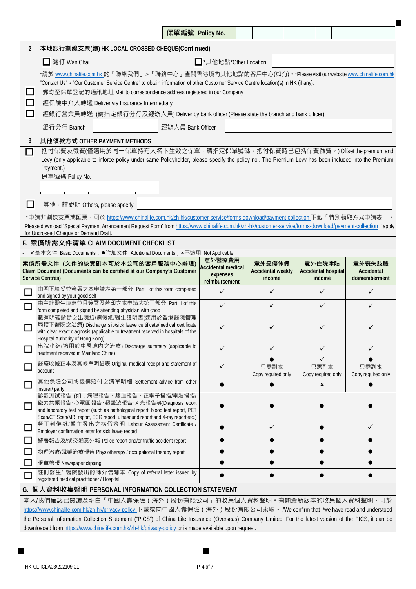|                                                                                                                                                                                                                                                                                                                                                      |                                                                                                                                                                                                                                                                                                    | 保單編號 Policy No.   |                                                        |  |  |                                              |  |  |                                                |  |  |                                       |  |  |
|------------------------------------------------------------------------------------------------------------------------------------------------------------------------------------------------------------------------------------------------------------------------------------------------------------------------------------------------------|----------------------------------------------------------------------------------------------------------------------------------------------------------------------------------------------------------------------------------------------------------------------------------------------------|-------------------|--------------------------------------------------------|--|--|----------------------------------------------|--|--|------------------------------------------------|--|--|---------------------------------------|--|--|
| $\overline{2}$                                                                                                                                                                                                                                                                                                                                       | 本地銀行劃線支票(續) HK LOCAL CROSSED CHEQUE(Continued)                                                                                                                                                                                                                                                     |                   |                                                        |  |  |                                              |  |  |                                                |  |  |                                       |  |  |
|                                                                                                                                                                                                                                                                                                                                                      | □ 灣仔 Wan Chai<br>■ *其他地點*Other Location:                                                                                                                                                                                                                                                           |                   |                                                        |  |  |                                              |  |  |                                                |  |  |                                       |  |  |
|                                                                                                                                                                                                                                                                                                                                                      | *請於 <u>www.chinalife.com.hk</u> 的「聯絡我們」>「聯絡中心」查閱香港境內其他地點的客戶中心(如有) • *Please visit our website <u>www.chinalife.com.hk</u>                                                                                                                                                                          |                   |                                                        |  |  |                                              |  |  |                                                |  |  |                                       |  |  |
|                                                                                                                                                                                                                                                                                                                                                      | "Contact Us" > "Our Customer Service Centre" to obtain information of other Customer Service Centre location(s) in HK (if any).                                                                                                                                                                    |                   |                                                        |  |  |                                              |  |  |                                                |  |  |                                       |  |  |
| ப                                                                                                                                                                                                                                                                                                                                                    | 郵寄至保單登記的通訊地址 Mail to correspondence address registered in our Company<br>經保險中介人轉遞 Deliver via Insurance Intermediary                                                                                                                                                                               |                   |                                                        |  |  |                                              |  |  |                                                |  |  |                                       |  |  |
| $\Box$<br>⊔                                                                                                                                                                                                                                                                                                                                          | 經銀行營業員轉送 (請指定銀行分行及經辦人員) Deliver by bank officer (Please state the branch and bank officer)                                                                                                                                                                                                         |                   |                                                        |  |  |                                              |  |  |                                                |  |  |                                       |  |  |
|                                                                                                                                                                                                                                                                                                                                                      | 銀行分行 Branch                                                                                                                                                                                                                                                                                        | 經辦人員 Bank Officer |                                                        |  |  |                                              |  |  |                                                |  |  |                                       |  |  |
|                                                                                                                                                                                                                                                                                                                                                      |                                                                                                                                                                                                                                                                                                    |                   |                                                        |  |  |                                              |  |  |                                                |  |  |                                       |  |  |
| $\Box$                                                                                                                                                                                                                                                                                                                                               | 3<br>其他領款方式 OTHER PAYMENT METHODS<br>抵付保費及徵費(僅適用於同一保單持有人名下生效之保單,請指定保單號碼。抵付保費時已包括保費徵費。) Offset the premium and<br>Levy (only applicable to inforce policy under same Policyholder, please specify the policy no The Premium Levy has been included into the Premium<br>Payment.)<br>保單號碼 Policy No. |                   |                                                        |  |  |                                              |  |  |                                                |  |  |                                       |  |  |
|                                                                                                                                                                                                                                                                                                                                                      | $-1$ $-1$                                                                                                                                                                                                                                                                                          |                   |                                                        |  |  |                                              |  |  |                                                |  |  |                                       |  |  |
| H                                                                                                                                                                                                                                                                                                                                                    | 其他, 請說明 Others, please specify                                                                                                                                                                                                                                                                     |                   |                                                        |  |  |                                              |  |  |                                                |  |  |                                       |  |  |
|                                                                                                                                                                                                                                                                                                                                                      | *申請非劃線支票或匯票 · 可於 https://www.chinalife.com.hk/zh-hk/customer-service/forms-download/payment-collection 下載「特別領取方式申請表」。                                                                                                                                                                              |                   |                                                        |  |  |                                              |  |  |                                                |  |  |                                       |  |  |
| Please download "Special Payment Arrangement Request Form" from https://www.chinalife.com.hk/zh-hk/customer-service/forms-download/payment-collection if apply<br>for Uncrossed Cheque or Demand Draft.                                                                                                                                              |                                                                                                                                                                                                                                                                                                    |                   |                                                        |  |  |                                              |  |  |                                                |  |  |                                       |  |  |
| F. 索償所需文件清單 CLAIM DOCUMENT CHECKLIST                                                                                                                                                                                                                                                                                                                 |                                                                                                                                                                                                                                                                                                    |                   |                                                        |  |  |                                              |  |  |                                                |  |  |                                       |  |  |
|                                                                                                                                                                                                                                                                                                                                                      | ✔基本文件 Basic Documents; ●附加文件 Additional Documents; *不適用 Not Applicable                                                                                                                                                                                                                             |                   | 意外醫療費用                                                 |  |  |                                              |  |  |                                                |  |  |                                       |  |  |
|                                                                                                                                                                                                                                                                                                                                                      | 索償所需文件 (文件的核實副本可於本公司的客戶服務中心辦理)<br>Claim Document (Documents can be certified at our Company's Customer<br><b>Service Centres)</b>                                                                                                                                                                  |                   | <b>Accidental medical</b><br>expenses<br>reimbursement |  |  | 意外受傷休假<br><b>Accidental weekly</b><br>income |  |  | 意外住院津貼<br><b>Accidental hospital</b><br>income |  |  | 意外喪失肢體<br>Accidental<br>dismemberment |  |  |
|                                                                                                                                                                                                                                                                                                                                                      | 由閣下填妥並簽署之本申請表第一部分 Part I of this form completed<br>and signed by your good self                                                                                                                                                                                                                    |                   | ✓                                                      |  |  | $\checkmark$                                 |  |  | ✓                                              |  |  | $\checkmark$                          |  |  |
| 囗                                                                                                                                                                                                                                                                                                                                                    | 由主診醫生填寫並且簽署及蓋印之本申請表第二部分 Part II of this<br>form completed and signed by attending physician with chop                                                                                                                                                                                              |                   | ✓                                                      |  |  | ✓                                            |  |  | ✓                                              |  |  | ✓                                     |  |  |
|                                                                                                                                                                                                                                                                                                                                                      | 載有明確診斷之出院紙/病假紙/醫生證明書(適用於香港醫院管理<br>局轄下醫院之治療) Discharge slip/sick leave certificate/medical certificate<br>with clear exact diagnosis (applicable to treatment received in hospitals of the<br>Hospital Authority of Hong Kong)                                                                      |                   |                                                        |  |  |                                              |  |  |                                                |  |  |                                       |  |  |
|                                                                                                                                                                                                                                                                                                                                                      | 出院小結(適用於中國境內之治療) Discharge summary (applicable to<br>treatment received in Mainland China)                                                                                                                                                                                                         |                   | $\checkmark$                                           |  |  | ✓                                            |  |  | $\checkmark$                                   |  |  | ✓                                     |  |  |
|                                                                                                                                                                                                                                                                                                                                                      | 醫療收據正本及其帳單明細表 Original medical receipt and statement of<br>account                                                                                                                                                                                                                                 |                   | ✓                                                      |  |  | 只需副本<br>Copy required only                   |  |  | 只需副本<br>Copy required only                     |  |  | 只需副本<br>Copy required only            |  |  |
|                                                                                                                                                                                                                                                                                                                                                      | 其他保險公司或機構賠付之清單明細 Settlement advice from other<br>insurer/party                                                                                                                                                                                                                                     |                   |                                                        |  |  |                                              |  |  | ×                                              |  |  |                                       |  |  |
| □                                                                                                                                                                                                                                                                                                                                                    | 診斷測試報告 (如:病理報告、驗血報告、正電子掃描/電腦掃描/<br>磁力共振報告、心電圖報告、超聲波報告、X光報告等)Diagnosis report<br>and laboratory test report (such as pathological report, blood test report, PET<br>Scan/CT Scan/MRI report, ECG report, ultrasound report and X-ray report etc.)                                                   |                   |                                                        |  |  |                                              |  |  |                                                |  |  |                                       |  |  |
|                                                                                                                                                                                                                                                                                                                                                      | 勞工判傷紙/僱主發出之病假證明 Labour Assessment Certificate /<br>Employer confirmation letter for sick leave record                                                                                                                                                                                              |                   |                                                        |  |  | $\checkmark$                                 |  |  |                                                |  |  | $\checkmark$                          |  |  |
|                                                                                                                                                                                                                                                                                                                                                      | 警署報告及/或交通意外報 Police report and/or traffic accident report                                                                                                                                                                                                                                          |                   |                                                        |  |  |                                              |  |  |                                                |  |  |                                       |  |  |
|                                                                                                                                                                                                                                                                                                                                                      | 物理治療/職業治療報告 Physiotherapy / occupational therapy report                                                                                                                                                                                                                                            |                   |                                                        |  |  |                                              |  |  |                                                |  |  |                                       |  |  |
|                                                                                                                                                                                                                                                                                                                                                      | 報章剪報 Newspaper clipping                                                                                                                                                                                                                                                                            |                   | $\bullet$                                              |  |  |                                              |  |  |                                                |  |  |                                       |  |  |
|                                                                                                                                                                                                                                                                                                                                                      | 註冊醫生/醫院發出的轉介信副本 Copy of referral letter issued by<br>registered medical practitioner / Hospital                                                                                                                                                                                                    |                   |                                                        |  |  |                                              |  |  |                                                |  |  |                                       |  |  |
|                                                                                                                                                                                                                                                                                                                                                      | G. 個人資料收集聲明 PERSONAL INFORMATION COLLECTION STATEMENT                                                                                                                                                                                                                                              |                   |                                                        |  |  |                                              |  |  |                                                |  |  |                                       |  |  |
| 本人/我們確認已閱讀及明白「中國人壽保險(海外)股份有限公司」的收集個人資料聲明。有關最新版本的收集個人資料聲明 · 可於<br>https://www.chinalife.com.hk/zh-hk/privacy-policy下載或向中國人壽保險(海外)股份有限公司索取。I/We confirm that I/we have read and understood<br>the Personal Information Collection Statement ("PICS") of China Life Insurance (Overseas) Company Limited. For the latest version of the PICS, it can be |                                                                                                                                                                                                                                                                                                    |                   |                                                        |  |  |                                              |  |  |                                                |  |  |                                       |  |  |

downloaded from https://www.chinalife.com.hk/zh-hk/privacy-policy or is made available upon request.

П

 $\qquad \qquad \blacksquare$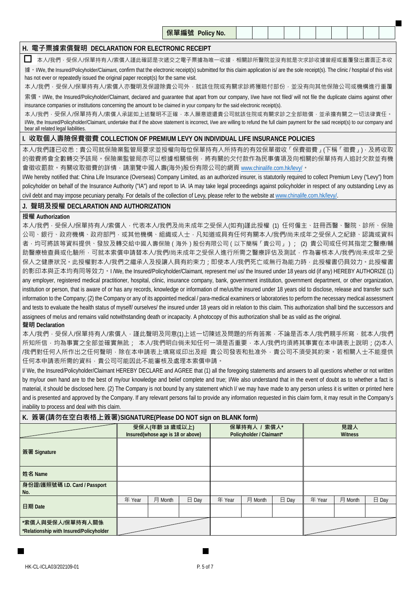**保單編號 Policy No.**

# **H. 電子票據索償聲明 DECLARATION FOR ELECTRONIC RECEIPT**

 $\Box$  本人/我們,受保人/保單持有人/索償人謹此確認是次遞交之電子票據為唯一收據,相關診所醫院並沒有就是次求診收據曾經或重覆發出書面正本收 據。I/We, the Insured/Policyholder/Claimant, confirm that the electronic receipt(s) submitted for this claim application is/ are the sole receipt(s). The clinic / hospital of this visit has not ever or repeatedly issued the original paper receipt(s) for the same visit.

本人/我們,受保人/保單持有人/索償人亦聲明及保證除貴公司外,就該住院或有關求診將獲賠付部份,並没有向其他保險公司或機構進行重覆

索償 · I/We, the Insured/Policyholder/Claimant, declared and guarantee that apart from our company, I/we have not filed/ will not file the duplicate claims against other insurance companies or institutions concerning the amount to be claimed in your company for the said electronic receipt(s).

本人/我們,受保人/保單持有人/索償人承諾如上述聲明不正確,本人願意退還貴公司就該住院或有關求診之全部賠償,並承擔有關之一切法律責任。 I/We, the Insured/Policyholder/Claimant, undertake that if the above statement is incorrect, I/we are willing to refund the full claim payment for the said receipt(s) to our company and bear all related legal liabilities.

#### **I. 收取個人壽險保費徵費 COLLECTION OF PREMIUM LEVY ON INDIVIDUAL LIFE INSURANCE POLICIES**

本人/我們謹已收悉:貴公司就保險業監管局要求並授權向每位保單持有人所持有的有效保單徵收「保費徵費」(下稱「徵費」),及將收取 的徵費將會全數轉交予該局。保險業監管局亦可以根據相關條例,將有關的欠付款作為民事債項及向相關的保單持有人追討欠款並有機 會徵收罰款。有關收取徵費的詳情,請瀏覽中國人壽(海外)股份有限公司的網頁 www.chinalife.com.hk/levy/。

I/We hereby notified that: China Life Insurance (Overseas) Company Limited, as an authorized insurer, is statutorily required to collect Premium Levy ("Levy") from policyholder on behalf of the Insurance Authority ("IA") and report to IA. IA may take legal proceedings against policyholder in respect of any outstanding Levy as civil debt and may impose pecuniary penalty. For details of the collection of Levy, please refer to the website at www.chinalife.com.hk/levy/

### **J. 聲明及授權 DECLARATION AND AUTHORIZATION**

### **授權 Authorization**

本人/我們,受保人/保單持有人/索償人,代表本人/我們及尚未成年之受保人(如有)謹此授權 (1) 任何僱主、註冊西醫、醫院、診所、保險 公司、銀行、政府機構、政府部門,或其他機構、組織或人士,凡知道或具有任何有關本人/我們/尚未成年之受保人之紀錄、認識或資料 者,均可將該等資料提供、發放及轉交給中國人壽保險(海外)股份有限公司(以下簡稱「貴公司」); (2) 貴公司或任何其指定之醫療/輔 助醫療檢查員或化驗所,可就本索償申請替本人/我們/尚未成年之受保人進行所需之醫療評估及測試,作為審核本人/我們/尚未成年之受 保人之健康狀況。此授權對本人/我們之繼承人及授讓人具有約束力;即使本人/我們死亡或無行為能力時,此授權書仍具效力。此授權書 的影印本與正本均有同等效力。I /We, the Insured/Policyholder/Claimant, represent me/ us/ the Insured under 18 years old (if any) HEREBY AUTHORIZE (1) any employer, registered medical practitioner, hospital, clinic, insurance company, bank, government institution, government department, or other organization, institution or person, that is aware of or has any records, knowledge or information of me/us/the insured under 18 years old to disclose, release and transfer such information to the Company; (2) the Company or any of its appointed medical / para-medical examiners or laboratories to perform the necessary medical assessment and tests to evaluate the health status of myself/ ourselves/ the insured under 18 years old in relation to this claim. This authorization shall bind the successors and assignees of me/us and remains valid notwithstanding death or incapacity. A photocopy of this authorization shall be as valid as the original.

#### **聲明 Declaration**

本人/我們,受保人/保單持有人/索償人,謹此聲明及同意(1)上述一切陳述及問題的所有答案,不論是否本人/我們親手所寫,就本人/我們 所知所信,均為事實之全部並確實無訛; 本人/我們明白倘未知任何一項是否重要,本人/我們均須將其事實在本申請表上說明;(2)本人 /我們對任何人所作出之任何聲明,除在本申請表上填寫或印出及經 貴公司發表和批准外,貴公司不須受其約束。若相關人士不能提供 任何本申請表所需的資料,貴公司可能因此不能審核及處理本索償申請。

I/ We, the Insured/Policyholder/Claimant HEREBY DECLARE and AGREE that (1) all the foregoing statements and answers to all questions whether or not written by my/our own hand are to the best of my/our knowledge and belief complete and true; I/We also understand that in the event of doubt as to whether a fact is material, it should be disclosed here. (2) The Company is not bound by any statement which I/ we may have made to any person unless it is written or printed here and is presented and approved by the Company. If any relevant persons fail to provide any information requested in this claim form, it may result in the Company's inability to process and deal with this claim.

## **K. 簽署(請勿在空白表格上簽署)SIGNATURE(Please DO NOT sign on BLANK form)**

| ີ                                                           |        |                                                      |                 |        |                                          |                 |                       |         |       |  |  |  |
|-------------------------------------------------------------|--------|------------------------------------------------------|-----------------|--------|------------------------------------------|-----------------|-----------------------|---------|-------|--|--|--|
|                                                             |        | 受保人(年齡 18 歲或以上)<br>Insured(whose age is 18 or above) |                 |        | 保單持有人 / 索償人*<br>Policyholder / Claimant* |                 | 見證人<br><b>Witness</b> |         |       |  |  |  |
| 簽署 Signature                                                |        |                                                      |                 |        |                                          |                 |                       |         |       |  |  |  |
| 姓名 Name                                                     |        |                                                      |                 |        |                                          |                 |                       |         |       |  |  |  |
| 身份證/護照號碼 I.D. Card / Passport<br>No.                        |        |                                                      |                 |        |                                          |                 |                       |         |       |  |  |  |
|                                                             | 年 Year | 月 Month                                              | $\boxminus$ Day | 年 Year | 月 Month                                  | $\boxminus$ Day | 年 Year                | 月 Month | 日 Day |  |  |  |
| 日期 Date                                                     |        |                                                      |                 |        |                                          |                 |                       |         |       |  |  |  |
| *索償人與受保人/保單持有人關係<br>*Relationship with Insured/Policyholder |        |                                                      |                 |        |                                          |                 |                       |         |       |  |  |  |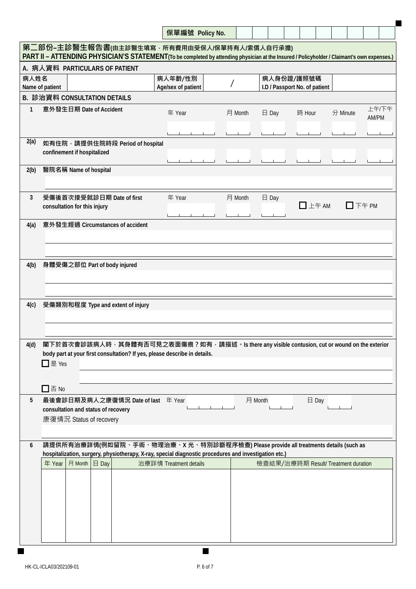|                                                                                                                                                                                             |                                                                                                                                                                                              | 保單編號 Policy No.               |         |                 |                                             |          |                |  |  |  |  |  |  |
|---------------------------------------------------------------------------------------------------------------------------------------------------------------------------------------------|----------------------------------------------------------------------------------------------------------------------------------------------------------------------------------------------|-------------------------------|---------|-----------------|---------------------------------------------|----------|----------------|--|--|--|--|--|--|
| 第二部份-主診醫生報告書(由主診醫生填寫,所有費用由受保人/保單持有人/索償人自行承擔)<br>PART II - ATTENDING PHYSICIAN'S STATEMENT (To be completed by attending physician at the Insured / Policyholder / Claimant's own expenses.) |                                                                                                                                                                                              |                               |         |                 |                                             |          |                |  |  |  |  |  |  |
|                                                                                                                                                                                             | A. 病人資料 PARTICULARS OF PATIENT                                                                                                                                                               |                               |         |                 |                                             |          |                |  |  |  |  |  |  |
| 病人姓名                                                                                                                                                                                        | Name of patient                                                                                                                                                                              | 病人年齡/性別<br>Age/sex of patient |         |                 | 病人身份證/護照號碼<br>I.D / Passport No. of patient |          |                |  |  |  |  |  |  |
|                                                                                                                                                                                             | B. 診治資料 CONSULTATION DETAILS                                                                                                                                                                 |                               |         |                 |                                             |          |                |  |  |  |  |  |  |
| $\mathbf{1}$                                                                                                                                                                                | 意外發生日期 Date of Accident                                                                                                                                                                      | 年 Year                        | 月 Month | $\boxminus$ Day | 時 Hour                                      | 分 Minute | 上午/下午<br>AM/PM |  |  |  |  |  |  |
| 2(a)                                                                                                                                                                                        | 如有住院, 請提供住院時段 Period of hospital                                                                                                                                                             |                               |         |                 |                                             |          |                |  |  |  |  |  |  |
|                                                                                                                                                                                             | confinement if hospitalized                                                                                                                                                                  |                               |         |                 |                                             |          |                |  |  |  |  |  |  |
| 2(b)                                                                                                                                                                                        | 醫院名稱 Name of hospital                                                                                                                                                                        |                               |         |                 |                                             |          |                |  |  |  |  |  |  |
| 3                                                                                                                                                                                           | 受傷後首次接受就診日期 Date of first<br>consultation for this injury                                                                                                                                    | 年 Year                        | 月 Month | $\boxminus$ Day | $\Box$ $\pm$ $\pm$ AM                       | 口下午PM    |                |  |  |  |  |  |  |
| 4(a)                                                                                                                                                                                        | 意外發生經過 Circumstances of accident                                                                                                                                                             |                               |         |                 |                                             |          |                |  |  |  |  |  |  |
| 4(b)<br>4(c)                                                                                                                                                                                | 身體受傷之部位 Part of body injured<br>受傷類別和程度 Type and extent of injury                                                                                                                            |                               |         |                 |                                             |          |                |  |  |  |  |  |  |
| 4(d)                                                                                                                                                                                        | 閣下於首次會診該病人時,其身體有否可見之表面傷痕?如有,請描述。Is there any visible contusion, cut or wound on the exterior<br>body part at your first consultation? If yes, please describe in details.<br>□是 Yes          |                               |         |                 |                                             |          |                |  |  |  |  |  |  |
|                                                                                                                                                                                             | $\square$ 否 No                                                                                                                                                                               |                               |         |                 |                                             |          |                |  |  |  |  |  |  |
| 5                                                                                                                                                                                           | 最後會診日期及病人之康復情況 Date of last 年 Year<br>consultation and status of recovery<br>康復情況 Status of recovery                                                                                         |                               |         | 月 Month         | $\boxminus$ Day                             |          |                |  |  |  |  |  |  |
| 6                                                                                                                                                                                           | 請提供所有治療詳情(例如留院、手術、物理治療、X 光、特別診斷程序檢查) Please provide all treatments details (such as<br>hospitalization, surgery, physiotherapy, X-ray, special diagnostic procedures and investigation etc.) |                               |         |                 |                                             |          |                |  |  |  |  |  |  |
|                                                                                                                                                                                             | 月 Month 日 Day<br>年 Year                                                                                                                                                                      | 治療詳情 Treatment details        |         |                 | 檢查結果/治療時期 Result/ Treatment duration        |          |                |  |  |  |  |  |  |
|                                                                                                                                                                                             |                                                                                                                                                                                              |                               |         |                 |                                             |          |                |  |  |  |  |  |  |
|                                                                                                                                                                                             |                                                                                                                                                                                              |                               |         |                 |                                             |          |                |  |  |  |  |  |  |